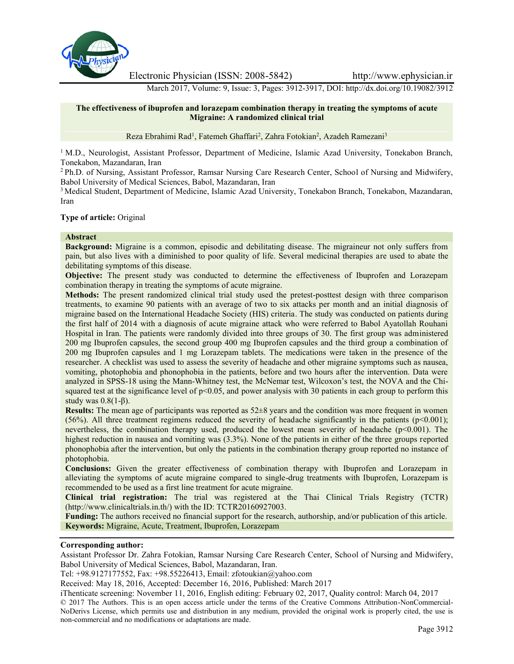

Electronic Physician (ISSN: 2008-5842) http://www.ephysician.ir

March 2017, Volume: 9, Issue: 3, Pages: 3912-3917, DOI: http://dx.doi.org/10.19082/3912

## **The effectiveness of ibuprofen and lorazepam combination therapy in treating the symptoms of acute Migraine: A randomized clinical trial**

Reza Ebrahimi Rad<sup>1</sup>, Fatemeh Ghaffari<sup>2</sup>, Zahra Fotokian<sup>2</sup>, Azadeh Ramezani<sup>3</sup>

<sup>1</sup> M.D., Neurologist, Assistant Professor, Department of Medicine, Islamic Azad University, Tonekabon Branch, Tonekabon, Mazandaran, Iran

<sup>2</sup> Ph.D. of Nursing, Assistant Professor, Ramsar Nursing Care Research Center, School of Nursing and Midwifery, Babol University of Medical Sciences, Babol, Mazandaran, Iran

<sup>3</sup> Medical Student, Department of Medicine, Islamic Azad University, Tonekabon Branch, Tonekabon, Mazandaran, Iran

## **Type of article:** Original

### **Abstract**

**Background:** Migraine is a common, episodic and debilitating disease. The migraineur not only suffers from pain, but also lives with a diminished to poor quality of life. Several medicinal therapies are used to abate the debilitating symptoms of this disease.

**Objective:** The present study was conducted to determine the effectiveness of Ibuprofen and Lorazepam combination therapy in treating the symptoms of acute migraine.

**Methods:** The present randomized clinical trial study used the pretest-posttest design with three comparison treatments, to examine 90 patients with an average of two to six attacks per month and an initial diagnosis of migraine based on the International Headache Society (HIS) criteria. The study was conducted on patients during the first half of 2014 with a diagnosis of acute migraine attack who were referred to Babol Ayatollah Rouhani Hospital in Iran. The patients were randomly divided into three groups of 30. The first group was administered 200 mg Ibuprofen capsules, the second group 400 mg Ibuprofen capsules and the third group a combination of 200 mg Ibuprofen capsules and 1 mg Lorazepam tablets. The medications were taken in the presence of the researcher. A checklist was used to assess the severity of headache and other migraine symptoms such as nausea, vomiting, photophobia and phonophobia in the patients, before and two hours after the intervention. Data were analyzed in SPSS-18 using the Mann-Whitney test, the McNemar test, Wilcoxon's test, the NOVA and the Chi squared test at the significance level of  $p<0.05$ , and power analysis with 30 patients in each group to perform this study was 0.8(1-β).

**Results:** The mean age of participants was reported as 52±8 years and the condition was more frequent in women (56%). All three treatment regimens reduced the severity of headache significantly in the patients ( $p<0.001$ ); nevertheless, the combination therapy used, produced the lowest mean severity of headache (p<0.001). The highest reduction in nausea and vomiting was (3.3%). None of the patients in either of the three groups reported phonophobia after the intervention, but only the patients in the combination therapy group reported no instance of photophobia.

**Conclusions:** Given the greater effectiveness of combination therapy with Ibuprofen and Lorazepam in alleviating the symptoms of acute migraine compared to single-drug treatments with Ibuprofen, Lorazepam is recommended to be used as a first line treatment for acute migraine.

**Clinical trial registration:** The trial was registered at the Thai Clinical Trials Registry (TCTR) (http://www.clinicaltrials.in.th/) with the ID: TCTR20160927003.

**Funding:** The authors received no financial support for the research, authorship, and/or publication of this article. **Keywords:** Migraine, Acute, Treatment, Ibuprofen, Lorazepam

#### **Corresponding author:**

Assistant Professor Dr. Zahra Fotokian, Ramsar Nursing Care Research Center, School of Nursing and Midwifery, Babol University of Medical Sciences, Babol, Mazandaran, Iran.

Tel: +98.9127177552, Fax: +98.55226413, Email: zfotoukian@yahoo.com

Received: May 18, 2016, Accepted: December 16, 2016, Published: March 2017

iThenticate screening: November 11, 2016, English editing: February 02, 2017, Quality control: March 04, 2017 © 2017 The Authors. This is an open access article under the terms of the Creative Commons Attribution-NonCommercial- NoDerivs License, which permits use and distribution in any medium, provided the original work is properly cited, the use is non-commercial and no modifications or adaptations are made.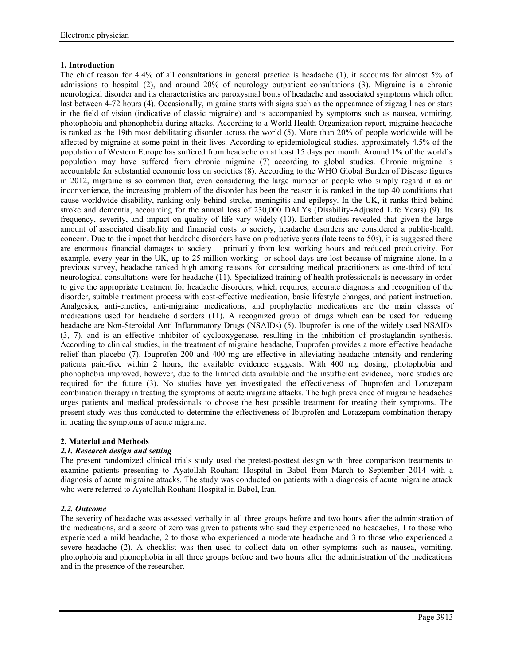## **1. Introduction**

The chief reason for 4.4% of all consultations in general practice is headache (1), it accounts for almost 5% of admissions to hospital (2), and around 20% of neurology outpatient consultations (3). Migraine is a chronic neurological disorder and its characteristics are paroxysmal bouts of headache and associated symptoms which often last between 4-72 hours (4). Occasionally, migraine starts with signs such as the appearance of zigzag lines or stars in the field of vision (indicative of classic migraine) and is accompanied by symptoms such as nausea, vomiting, photophobia and phonophobia during attacks. According to a World Health Organization report, migraine headache is ranked as the 19th most debilitating disorder across the world (5). More than 20% of people worldwide will be affected by migraine at some point in their lives. According to epidemiological studies, approximately 4.5% of the population of Western Europe has suffered from headache on at least 15 days per month. Around 1% of the world's population may have suffered from chronic migraine (7) according to global studies. Chronic migraine is accountable for substantial economic loss on societies (8). According to the WHO Global Burden of Disease figures in 2012, migraine is so common that, even considering the large number of people who simply regard it as an inconvenience, the increasing problem of the disorder has been the reason it is ranked in the top 40 conditions that cause worldwide disability, ranking only behind stroke, meningitis and epilepsy. In the UK, it ranks third behind stroke and dementia, accounting for the annual loss of 230,000 DALYs (Disability-Adjusted Life Years) (9). Its frequency, severity, and impact on quality of life vary widely (10). Earlier studies revealed that given the large amount of associated disability and financial costs to society, headache disorders are considered a public-health concern. Due to the impact that headache disorders have on productive years (late teens to 50s), it is suggested there are enormous financial damages to society – primarily from lost working hours and reduced productivity. For example, every year in the UK, up to 25 million working- or school-days are lost because of migraine alone. In a previous survey, headache ranked high among reasons for consulting medical practitioners as one-third of total neurological consultations were for headache (11). Specialized training of health professionals is necessary in order to give the appropriate treatment for headache disorders, which requires, accurate diagnosis and recognition of the disorder, suitable treatment process with cost-effective medication, basic lifestyle changes, and patient instruction. Analgesics, anti-emetics, anti-migraine medications, and prophylactic medications are the main classes of medications used for headache disorders (11). A recognized group of drugs which can be used for reducing headache are Non-Steroidal Anti Inflammatory Drugs (NSAIDs) (5). Ibuprofen is one of the widely used NSAIDs (3, 7), and is an effective inhibitor of cyclooxygenase, resulting in the inhibition of prostaglandin synthesis. According to clinical studies, in the treatment of migraine headache, Ibuprofen provides a more effective headache relief than placebo (7). Ibuprofen 200 and 400 mg are effective in alleviating headache intensity and rendering patients pain-free within 2 hours, the available evidence suggests. With 400 mg dosing, photophobia and phonophobia improved, however, due to the limited data available and the insufficient evidence, more studies are required for the future (3). No studies have yet investigated the effectiveness of Ibuprofen and Lorazepam combination therapy in treating the symptoms of acute migraine attacks. The high prevalence of migraine headaches urges patients and medical professionals to choose the best possible treatment for treating their symptoms. The present study was thus conducted to determine the effectiveness of Ibuprofen and Lorazepam combination therapy in treating the symptoms of acute migraine.

## **2. Material and Methods**

## *2.1. Research design and setting*

The present randomized clinical trials study used the pretest-posttest design with three comparison treatments to examine patients presenting to Ayatollah Rouhani Hospital in Babol from March to September 2014 with a diagnosis of acute migraine attacks. The study was conducted on patients with a diagnosis of acute migraine attack who were referred to Ayatollah Rouhani Hospital in Babol, Iran.

## *2.2. Outcome*

The severity of headache was assessed verbally in all three groups before and two hours after the administration of the medications, and a score of zero was given to patients who said they experienced no headaches, 1 to those who experienced a mild headache, 2 to those who experienced a moderate headache and 3 to those who experienced a severe headache (2). A checklist was then used to collect data on other symptoms such as nausea, vomiting, photophobia and phonophobia in all three groups before and two hours after the administration of the medications and in the presence of the researcher.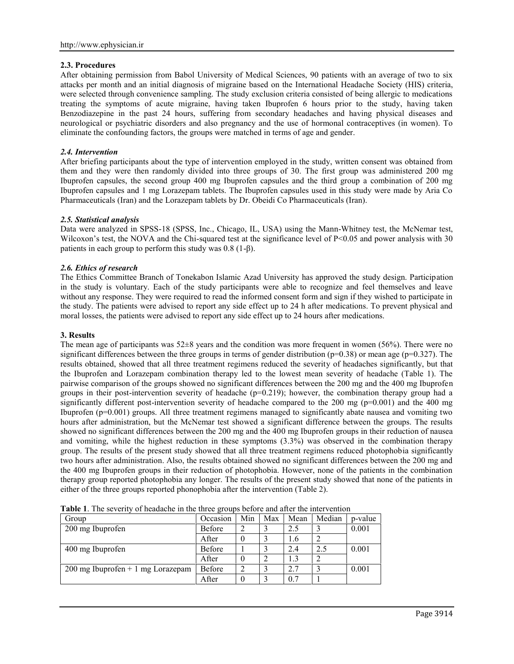# **2.3. Procedures**

After obtaining permission from Babol University of Medical Sciences, 90 patients with an average of two to six attacks per month and an initial diagnosis of migraine based on the International Headache Society (HIS) criteria, were selected through convenience sampling. The study exclusion criteria consisted of being allergic to medications treating the symptoms of acute migraine, having taken Ibuprofen 6 hours prior to the study, having taken Benzodiazepine in the past 24 hours, suffering from secondary headaches and having physical diseases and neurological or psychiatric disorders and also pregnancy and the use of hormonal contraceptives (in women). To eliminate the confounding factors, the groups were matched in terms of age and gender.

## *2.4. Intervention*

After briefing participants about the type of intervention employed in the study, written consent was obtained from them and they were then randomly divided into three groups of 30. The first group was administered 200 mg Ibuprofen capsules, the second group 400 mg Ibuprofen capsules and the third group a combination of 200 mg Ibuprofen capsules and 1 mg Lorazepam tablets. The Ibuprofen capsules used in this study were made by Aria Co Pharmaceuticals (Iran) and the Lorazepam tablets by Dr. Obeidi Co Pharmaceuticals (Iran).

### *2.5. Statistical analysis*

Data were analyzed in SPSS-18 (SPSS, Inc., Chicago, IL, USA) using the Mann-Whitney test, the McNemar test, Wilcoxon's test, the NOVA and the Chi-squared test at the significance level of  $P<0.05$  and power analysis with 30 patients in each group to perform this study was 0.8 (1-β).

## *2.6. Ethics of research*

The Ethics Committee Branch of Tonekabon Islamic Azad University has approved the study design. Participation in the study is voluntary. Each of the study participants were able to recognize and feel themselves and leave without any response. They were required to read the informed consent form and sign if they wished to participate in the study. The patients were advised to report any side effect up to 24 h after medications. To prevent physical and moral losses, the patients were advised to report any side effect up to 24 hours after medications.

### **3. Results**

The mean age of participants was 52±8 years and the condition was more frequent in women (56%). There were no significant differences between the three groups in terms of gender distribution ( $p=0.38$ ) or mean age ( $p=0.327$ ). The results obtained, showed that all three treatment regimens reduced the severity of headaches significantly, but that the Ibuprofen and Lorazepam combination therapy led to the lowest mean severity of headache (Table 1). The pairwise comparison of the groups showed no significant differences between the 200 mg and the 400 mg Ibuprofen groups in their post-intervention severity of headache (p=0.219); however, the combination therapy group had a significantly different post-intervention severity of headache compared to the 200 mg  $(p=0.001)$  and the 400 mg Ibuprofen (p=0.001) groups. All three treatment regimens managed to significantly abate nausea and vomiting two hours after administration, but the McNemar test showed a significant difference between the groups. The results showed no significant differences between the 200 mg and the 400 mg Ibuprofen groups in their reduction of nausea and vomiting, while the highest reduction in these symptoms (3.3%) was observed in the combination therapy group. The results of the present study showed that all three treatment regimens reduced photophobia significantly two hours after administration. Also, the results obtained showed no significant differences between the 200 mg and the 400 mg Ibuprofen groups in their reduction of photophobia. However, none of the patients in the combination therapy group reported photophobia any longer. The results of the present study showed that none of the patients in either of the three groups reported phonophobia after the intervention (Table 2).

| Group                               | Occasion      | Min | Max | Mean | Median | p-value |
|-------------------------------------|---------------|-----|-----|------|--------|---------|
| 200 mg Ibuprofen                    | <b>Before</b> |     |     | 2.5  |        | 0.001   |
|                                     | After         |     |     | 1.6  |        |         |
| 400 mg Ibuprofen                    | <b>Before</b> |     |     | 2.4  | 2.5    | 0.001   |
|                                     | After         |     |     |      | 2      |         |
| $200$ mg Ibuprofen + 1 mg Lorazepam | <b>Before</b> |     |     | 2.7  |        | 0.001   |
|                                     | After         |     |     | 0.7  |        |         |

**Table 1**. The severity of headache in the three groups before and after the intervention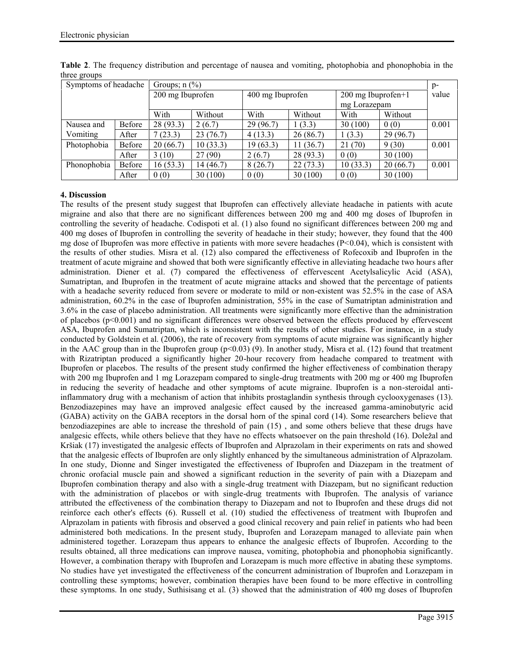| Symptoms of headache |               | Groups; $n$ (%)  |          |                  |           |                                      |          |       |
|----------------------|---------------|------------------|----------|------------------|-----------|--------------------------------------|----------|-------|
|                      |               | 200 mg Ibuprofen |          | 400 mg Ibuprofen |           | $200$ mg Ibuprofen+1<br>mg Lorazepam |          | value |
|                      |               | With             | Without  | With             | Without   | With                                 | Without  |       |
| Nausea and           | <b>Before</b> | 28(93.3)         | 2(6.7)   | 29(96.7)         | 1(3.3)    | 30(100)                              | 0(0)     | 0.001 |
| Vomiting             | After         | 7(23.3)          | 23(76.7) | 4(13.3)          | 26(86.7)  | 1(3.3)                               | 29(96.7) |       |
| Photophobia          | Before        | 20(66.7)         | 10(33.3) | 19(63.3)         | 11(36.7)  | 21(70)                               | 9(30)    | 0.001 |
|                      | After         | 3(10)            | 27(90)   | 2(6.7)           | 28 (93.3) | 0(0)                                 | 30(100)  |       |
| Phonophobia          | Before        | 16(53.3)         | 14(46.7) | 8(26.7)          | 22(73.3)  | 10(33.3)                             | 20(66.7) | 0.001 |
|                      | After         | 0(0)             | 30(100)  | 0(0)             | 30(100)   | 0(0)                                 | 30(100)  |       |

**Table 2**. The frequency distribution and percentage of nausea and vomiting, photophobia and phonophobia in the three groups

# **4. Discussion**

The results of the present study suggest that Ibuprofen can effectively alleviate headache in patients with acute migraine and also that there are no significant differences between 200 mg and 400 mg doses of Ibuprofen in controlling the severity of headache. Codispoti et al. (1) also found no significant differences between 200 mg and 400 mg doses of Ibuprofen in controlling the severity of headache in their study; however, they found that the 400 mg dose of Ibuprofen was more effective in patients with more severe headaches  $(P<0.04)$ , which is consistent with the results of other studies. Misra et al. (12) also compared the effectiveness of Rofecoxib and Ibuprofen in the treatment of acute migraine and showed that both were significantly effective in alleviating headache two hours after administration. Diener et al. (7) compared the effectiveness of effervescent Acetylsalicylic Acid (ASA), Sumatriptan, and Ibuprofen in the treatment of acute migraine attacks and showed that the percentage of patients with a headache severity reduced from severe or moderate to mild or non-existent was 52.5% in the case of ASA administration, 60.2% in the case of Ibuprofen administration, 55% in the case of Sumatriptan administration and 3.6% in the case of placebo administration. All treatments were significantly more effective than the administration of placebos ( $p \le 0.001$ ) and no significant differences were observed between the effects produced by effervescent ASA, Ibuprofen and Sumatriptan, which is inconsistent with the results of other studies. For instance, in a study conducted by Goldstein et al. (2006), the rate of recovery from symptoms of acute migraine was significantly higher in the AAC group than in the Ibuprofen group  $(p<0.03)$  (9). In another study, Misra et al. (12) found that treatment with Rizatriptan produced a significantly higher 20-hour recovery from headache compared to treatment with Ibuprofen or placebos. The results of the present study confirmed the higher effectiveness of combination therapy with 200 mg Ibuprofen and 1 mg Lorazepam compared to single-drug treatments with 200 mg or 400 mg Ibuprofen in reducing the severity of headache and other symptoms of acute migraine. Ibuprofen is a non-steroidal antiinflammatory drug with a mechanism of action that inhibits prostaglandin synthesis through cyclooxygenases (13). Benzodiazepines may have an improved analgesic effect caused by the increased gamma-aminobutyric acid (GABA) activity on the GABA receptors in the dorsal horn of the spinal cord (14). Some researchers believe that benzodiazepines are able to increase the threshold of pain (15) , and some others believe that these drugs have analgesic effects, while others believe that they have no effects whatsoever on the pain threshold (16). Doležal and Kršiak (17) investigated the analgesic effects of Ibuprofen and Alprazolam in their experiments on rats and showed that the analgesic effects of Ibuprofen are only slightly enhanced by the simultaneous administration of Alprazolam. In one study, Dionne and Singer investigated the effectiveness of Ibuprofen and Diazepam in the treatment of chronic orofacial muscle pain and showed a significant reduction in the severity of pain with a Diazepam and Ibuprofen combination therapy and also with a single-drug treatment with Diazepam, but no significant reduction with the administration of placebos or with single-drug treatments with Ibuprofen. The analysis of variance attributed the effectiveness of the combination therapy to Diazepam and not to Ibuprofen and these drugs did not reinforce each other's effects (6). Russell et al. (10) studied the effectiveness of treatment with Ibuprofen and Alprazolam in patients with fibrosis and observed a good clinical recovery and pain relief in patients who had been administered both medications. In the present study, Ibuprofen and Lorazepam managed to alleviate pain when administered together. Lorazepam thus appears to enhance the analgesic effects of Ibuprofen. According to the results obtained, all three medications can improve nausea, vomiting, photophobia and phonophobia significantly. However, a combination therapy with Ibuprofen and Lorazepam is much more effective in abating these symptoms. No studies have yet investigated the effectiveness of the concurrent administration of Ibuprofen and Lorazepam in controlling these symptoms; however, combination therapies have been found to be more effective in controlling these symptoms. In one study, Suthisisang et al. (3) showed that the administration of 400 mg doses of Ibuprofen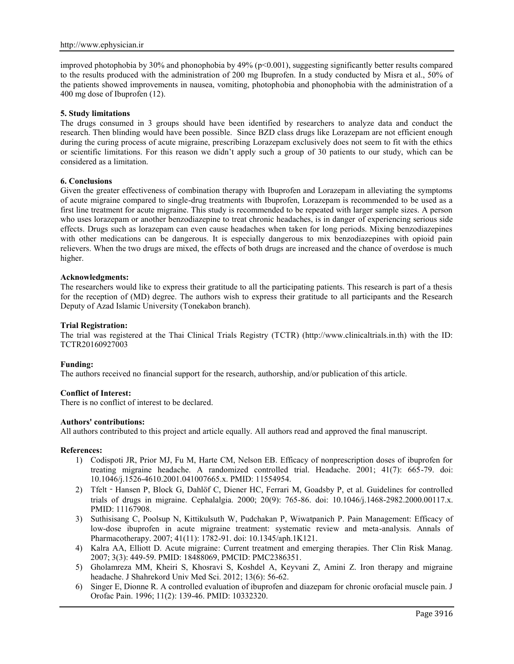improved photophobia by 30% and phonophobia by 49% (p<0.001), suggesting significantly better results compared to the results produced with the administration of 200 mg Ibuprofen. In a study conducted by Misra et al., 50% of the patients showed improvements in nausea, vomiting, photophobia and phonophobia with the administration of a 400 mg dose of Ibuprofen (12).

### **5. Study limitations**

The drugs consumed in 3 groups should have been identified by researchers to analyze data and conduct the research. Then blinding would have been possible. Since BZD class drugs like Lorazepam are not efficient enough during the curing process of acute migraine, prescribing Lorazepam exclusively does not seem to fit with the ethics or scientific limitations. For this reason we didn't apply such a group of 30 patients to our study, which can be considered as a limitation.

### **6. Conclusions**

Given the greater effectiveness of combination therapy with Ibuprofen and Lorazepam in alleviating the symptoms of acute migraine compared to single-drug treatments with Ibuprofen, Lorazepam is recommended to be used as a first line treatment for acute migraine. This study is recommended to be repeated with larger sample sizes. A person who uses lorazepam or another benzodiazepine to treat chronic headaches, is in danger of experiencing serious side effects. Drugs such as lorazepam can even cause headaches when taken for long periods. Mixing benzodiazepines with other medications can be dangerous. It is especially dangerous to mix benzodiazepines with opioid pain relievers. When the two drugs are mixed, the effects of both drugs are increased and the chance of overdose is much higher.

#### **Acknowledgments:**

The researchers would like to express their gratitude to all the participating patients. This research is part of a thesis for the reception of (MD) degree. The authors wish to express their gratitude to all participants and the Research Deputy of Azad Islamic University (Tonekabon branch).

### **Trial Registration:**

The trial was registered at the Thai Clinical Trials Registry (TCTR) (http://www.clinicaltrials.in.th) with the ID: TCTR20160927003

## **Funding:**

The authors received no financial support for the research, authorship, and/or publication of this article.

## **Conflict of Interest:**

There is no conflict of interest to be declared.

#### **Authors' contributions:**

All authors contributed to this project and article equally. All authors read and approved the final manuscript.

#### **References:**

- 1) Codispoti JR, Prior MJ, Fu M, Harte CM, Nelson EB. Efficacy of nonprescription doses of ibuprofen for treating migraine headache. A randomized controlled trial. Headache. 2001; 41(7): 665-79. doi: 10.1046/j.1526-4610.2001.041007665.x. PMID: 11554954.
- 2) Tfelt Hansen P, Block G, Dahlöf C, Diener HC, Ferrari M, Goadsby P, et al. Guidelines for controlled trials of drugs in migraine. Cephalalgia. 2000; 20(9): 765-86. doi: 10.1046/j.1468-2982.2000.00117.x. PMID: 11167908.
- 3) Suthisisang C, Poolsup N, Kittikulsuth W, Pudchakan P, Wiwatpanich P. Pain Management: Efficacy of low-dose ibuprofen in acute migraine treatment: systematic review and meta-analysis. Annals of Pharmacotherapy. 2007; 41(11): 1782-91. doi: 10.1345/aph.1K121.
- 4) Kalra AA, Elliott D. Acute migraine: Current treatment and emerging therapies. Ther Clin Risk Manag. 2007; 3(3): 449-59. PMID: 18488069, PMCID: PMC2386351.
- 5) Gholamreza MM, Kheiri S, Khosravi S, Koshdel A, Keyvani Z, Amini Z. Iron therapy and migraine headache. J Shahrekord Univ Med Sci. 2012; 13(6): 56-62.
- 6) Singer E, Dionne R. A controlled evaluation of ibuprofen and diazepam for chronic orofacial muscle pain. J Orofac Pain. 1996; 11(2): 139-46. PMID: 10332320.